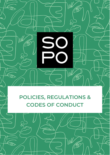**POLICIES, REGULATIONS & CODES OF CONDUCT**

W

1G

S

 $\leftarrow$ 

তে

 $\bigcirc$ 

Jull

16

 $\widetilde{\mathcal{A}}$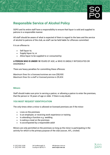

# **Responsible Service of Alcohol Policy**

SOPO and its entire staff have a responsibility to ensure that liquor is sold and supplied to patrons in a responsible manner.

All staff should be aware of what is expected of them in regard to the laws and the service of alcohol to patrons of the club, as staff can be held liable for offences committed.

It is an offense to:

- Sell liquor to:
- Supply liquor to; or
- Allow liquor to be supplied to or consumed by:

#### **A PERSON WHO IS UNDER 18** YEARS OF AGE; or WHO IS UNDULY INTOXICATED OR DISORDERLY

There are heavy penalties for committing these offences:

*Maximum fines for a licensee/nominee are now \$58,900. Maximum fines for a staff or licensed premise is \$9,424.*

#### **Minors**

Staff should make sure prior to serving a patron, or allowing a patron to enter the premises, that the person is 18 years of age or older. If there is any doubt,

### **YOU MUST REQUEST IDENTIFICATION**

The only times when a minor is allowed on licensed premises are if the minor:

- Lives on the premises
- Is an employee, or receiving work experience or training
- Is attending a function e.g. wedding
- Is eating a meal on the premises
- Is accompanied by a responsible adult

Minors are only permitted on the premises so long as the minor is participating in the activity for which is the primary purpose of the club (soccer, AFL, cricket)

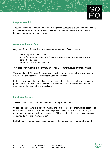#### **Responsible Adult**

A responsible adult in relation to a minor is the parent, stepparent, guardian or an adult who has parental rights and responsibilities in relation to the minor whilst the minor is on licensed premises or in a public place.

#### **Acceptable Proof of Age**

Only three forms of identification are acceptable as proof of age. These are:

- Photographic driver's licence
- A proof of age card issued by a Government Department or approved entity (e.g. card 18+, key pass)
- An Australian or foreign passport

*"Key pass" from Victoria is the only approved non-Government issued proof of age card.*

The Australian I.D Checking Guide, published by the Liquor Licensing Division, details the actual cards and licenses issued by each State and Territory.

If staff believe that a document being presented is false, defaced or in the possession of a person who is not the owner of the I.D then the document should be confiscated and forwarded to the Liquor Licensing Division.

#### **Intoxicated Persons**

The Queensland Liquor Act 1992 s4 defines 'Unduly Intoxicated' as:

"A state of being in which a person's mental and physical faculties are impaired because of consumption of liquor so as to diminish the person's ability to think and act in a way which an ordinary prudent person in full possession of his or her facilities, and using reasonable care, would act in like circumstances."

Staff should use common sense in determining whether a person is unduly intoxicated.

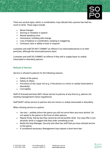There are several signs, which, in combination, may indicate that a person has had too much to drink. These signs include:

- Mood changes
- Slurring or mistakes in speech
- Raised speaking voice
- Clumsiness, fumbling with change
- Loss of balance or coordination, swaying or staggering
- Confusion, lack or ability to hear or respond

Licensees and staff DO NOT COMMIT an offence if an intoxicated person is on their premises, although the intoxicated person does.

Licensees and staff DO COMMIT an offence if they sell or supply liquor to unduly intoxicated or disorderly patrons.

### **Refusal of Service**

Service is refused to patrons for the following reasons:

- Safety of the patron
- Safety of others
- Provisions of the Liquor Act (e.g. if the person is a minor or unduly intoxicated or disorderly)
- Civil liability

Staff of licensed premises MAY refuse service to patrons at any time (e.g. patrons not meeting management's dress regulations)

Staff MUST refuse service to patrons who are minors or unduly intoxicated or disorderly.

When refusing service to a patron:

- Use tact politely inform the patron you will not serve them any more alcohol. Do not speak to the patron in the front of other patrons.
- Repeat firmly, that by law they cannot be served another drink. You may offer a nonalcoholic drink or suggest that they order something to eat.
- Notify the Duty Manager, Security and other bar staff that you have refused service to the patron.
- If considered necessary, Management may impose a short-term ban.

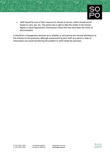• Staff should be sure of their reasons for refusal of service, which should not be based on race, sex, etc. The patron has a right to take the matter to the Human Rights or Equal Opportunity Commission if they feel they have been the victim of discrimination.

It should be a management decision as to whether or not patrons are refused admittance at the entrance to the premises, although assessment by door staff of a patron's state of intoxication can avoid transferring the problem to staff inside the premises.

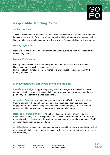# **Responsible Gambling Policy**

#### **Spirit of the Code**

The club will conduct all aspects of its facility in a professional and responsible manner in keeping with the spirit of the code of practice, will abide by all elements of the Responsible Gaming Policy and uphold its commitment to provide a Responsible Gaming Environment.

#### **Gaming Legislation**

Management and staff will be familiar with and have a duty to abide by all aspects of the relevant legislation.

#### **Machine Performance**

Gaming machines will be maintained in premium condition for member's enjoyment. Unplayable machines will be clearly marked as so. Return to player – Total aggregate winnings to players must be in accordance with the

gaming machine act.

## **Management and Staff Development and Training**

**Identification Badges** – Approved gaming machine management and staff will wear accredited badges when on duty and shall not play gaming machines on the premises or permit any other person to play on their behalf.

**Accredited Courses** – Approved gaming management staff will complete accredited training courses in the operation of machines and responsible gaming principles. engagement of the club will designate a responsible senior employee to be the point of contact should a patron express concern as to their gambling habits.

**Responsible Gaming Officer** – The club will designate a senior employee as the Responsible Gaming Officer. This person's duties will include management of internal and external training in the responsible service of gaming, patron care and management of selfexclusion deeds and barring procedures.

**Confidentiality** – All activities relating to gaming engaged in by members and visitors shall remain confidential, and shall not be discussed with other members, visitors or members of the community.

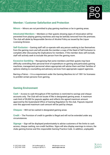

## **Member / Customer Satisfaction and Protection**

**Minors** – Minors are not permitted to play gaming machines or be in gaming areas.

**Intoxicated Members** – Members or their guests showing signs of intoxication will be prevented from playing gaming machines and may be lawfully removed from the premises. The club will abide by Responsible Service of Alcohol Policy as issued by the Liquor Licensing Division.

**Self-Exclusion** – Gaming staff will co-operate with any person seeking to bar themselves from the gaming room and will provide the member a copy of the Deed of Self Exclusion to complete after discussing the implications for members. If the member does self-exclude, staff will actively seek to exclude this person from the gaming room.

**Excessive Gambling** – Recognising that some members and their guests may have difficulty controlling their personal level of expenditure on gaming and particularly gaming machines, management personnel where appropriate will advise them and their families of options relating to counselling and advisory services from appropriate support agencies.

Barring a Patron – It is a requirement under the Gaming Machine Act of 1991 for licensees to prohibit certain persons from gaming.

### **Gaming Environment**

**Cash** – Access to cash throughout ATM machines is restricted to savings and cheque accounts only. The Club will not locate ATMs in designated gaming areas. A maximum cash limit of \$5,000 for payouts applies and reflects the agreed maximum amount approved by the Queensland Office of Gaming Regulation for the club. Payouts required over this approved maximum cash amount will be paid by cheque.

**Cheques** – Will not be cashed in designated gaming areas.

**Credit** – The Provision of credit to gamble is illegal and will not be extended under any circumstances.

**Signage** – Sign will be displayed predominately to advise customers of the limits to cash access, cheque cashing, non-credit facilities. Signs will also display warnings to minors, the clubs gaming license and this responsible Gaming Practice Code. In addition, unplayable

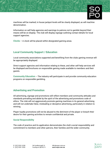machines will be marked; in house jackpot levels will be clearly displayed, as will machine denomination.

Information on self-help agencies and warnings to patrons not to gamble beyond their means will be on display. The club will display signage outlining contact details for local support agencies.

**Clocks** – A clock will be placed within designated gaming areas.

## **Local Community Support / Education**

Local community associations supported and benefiting from the clubs gaming revenue will be appropriately displayed.

Direct support agencies and information relating to these, and other self-help services will be displayed and brochures on responsible gaming made available to members and their guests.

**Community Education** – The industry will participate in and provide community education programs on responsible gambling.

## **Advertising and Promotion**

All advertising, signage and promotions will reflect members and community attitudes and standards prevailing and abide by the spirit of the advertising and promotions code of ethics. The club will not aggressively promote gaming machines in its general advertising and will not undertake false, misleading or deceptive advertising, particularly in relation to winning.

Player loyalty promotions will not be abused to the detriment of the player or breach their desire for their gaming activities to remain confidential and private.

#### **Social Responsibility**

The code of practice and its application demonstrates the club's social responsibility and commitment to members and other patrons, their families and the wider community.

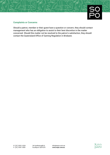

#### **Complaints or Concerns**

Should a patron, member or their guest have a question or concern, they should contact management who has an obligation to assist to their best discretion in the matter concerned. Should this matter not be resolved to the patron's satisfaction, they should contact the Queensland Office of Gaming Regulation in Brisbane.

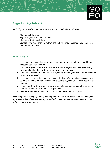

*QLD Liquor Licensing Laws require that entry to SOPO is restricted to:*

- Members of the club
- Signed-in guests of a club member
- Members of affiliated clubs
- Visitors living more than 15km from the club who may be signed-in as temporary members for the day

#### **How To Sign In**

- 1. If you are a financial Member, simply show your current membership card to our reception staff as you enter.
- 2. If you are a guest of a member, the member can sign you in as their guest using their membership details at the electronic sign in terminals.
- 3. If you are a member at a reciprocal Club, simply present your club card for validation by our reception staff.
- 4. If you are a visitor to the area and reside outside of a 15km radius, you can sign in as a Visitor, using your driver's licence, passport, Keypass or 18+ card as proof of identity.
- 5. If you live within 15km of our venue and are not a current member of a reciprocal club, you will require a member to sign you in.
- 6. Become a member of SOPO for just \$6.50 per year or \$25 for 5 years.

*Under Liquor Licensing legislation, minors (under the age of 18 years) must be accompanied by a responsible adult (parent or legal guardian) at all times. Management has the right to refuse entry to any persons.*

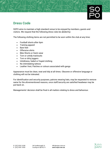

SOPO aims to maintain a high standard venue to be enjoyed by members, guests and visitors. We request that the following dress rules be abided by:

The following clothing items are not permitted to be worn within the club at any time:

- Football shorts after 6pm
- Training apparel
- Bare feet
- Offensive shirts
- Bike Shorts or Swim wear
- Torn or untidy tracksuits
- Torn or dirty joggers
- Untidiness, faded or frayed clothing
- No intimidating tattoos
- Leather Vest, Patches or colours associated with gangs

Appearance must be clean, neat and tidy at all times. Obscene or offensive language or clothing will not be tolerated.

For identification and security purposes, patrons wearing hats, may be requested to remove same for the aforementioned reasons, once staff/security are satisfied headwear may be put back on.

Managements' decision shall be final in all matters relating to dress and behaviour.

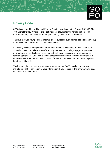# **Privacy Code**

SOPO is governed by the National Privacy Principles outlined in the Privacy Act 1988. The 10 National Privacy Principles are a set standard of rules for the handling of personal information. Any personal information provided by you to SOPO is protected.

The club may use your personal information for purposes such as marketing to keep you up to date with the clubs latest products and services.

SOPO may disclose your personal information if there is a legal requirement to do so. If SOPO has reason to believe, unlawful activity has been or is being engaged in, personal information may be disclosed to relevant authorities as necessary for investigation or reporting purposes. SOPO may disclose personal information to relevant authorities if it believes there is a threat to an individual's life, health or safety or serious threat to public health or public safety.

You have a right to access any personal information that SOPO may hold about you, including a right of correction of your information. If you require further information please call the club on 5552 4200.